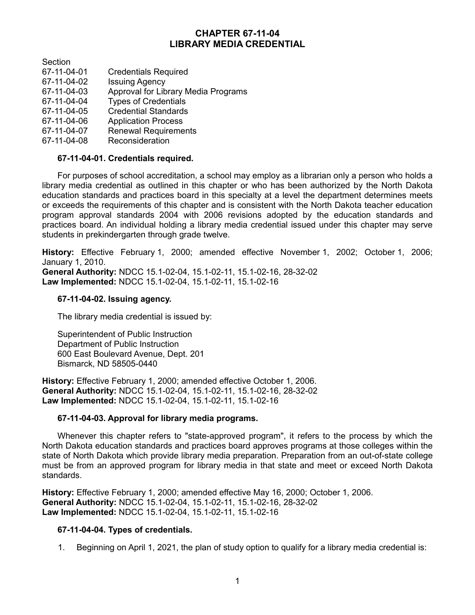# **CHAPTER 67-11-04 LIBRARY MEDIA CREDENTIAL**

**Section** 67-11-04-01 Credentials Required<br>67-11-04-02 Issuing Agency **Issuing Agency** 67-11-04-03 Approval for Library Media Programs 67-11-04-04 Types of Credentials 67-11-04-05 Credential Standards 67-11-04-06 Application Process 67-11-04-07 Renewal Requirements 67-11-04-08 Reconsideration

# **67-11-04-01. Credentials required.**

For purposes of school accreditation, a school may employ as a librarian only a person who holds a library media credential as outlined in this chapter or who has been authorized by the North Dakota education standards and practices board in this specialty at a level the department determines meets or exceeds the requirements of this chapter and is consistent with the North Dakota teacher education program approval standards 2004 with 2006 revisions adopted by the education standards and practices board. An individual holding a library media credential issued under this chapter may serve students in prekindergarten through grade twelve.

**History:** Effective February 1, 2000; amended effective November 1, 2002; October 1, 2006; January 1, 2010.

**General Authority:** NDCC 15.1-02-04, 15.1-02-11, 15.1-02-16, 28-32-02 **Law Implemented:** NDCC 15.1-02-04, 15.1-02-11, 15.1-02-16

#### **67-11-04-02. Issuing agency.**

The library media credential is issued by:

Superintendent of Public Instruction Department of Public Instruction 600 East Boulevard Avenue, Dept. 201 Bismarck, ND 58505-0440

**History:** Effective February 1, 2000; amended effective October 1, 2006. **General Authority:** NDCC 15.1-02-04, 15.1-02-11, 15.1-02-16, 28-32-02 **Law Implemented:** NDCC 15.1-02-04, 15.1-02-11, 15.1-02-16

#### **67-11-04-03. Approval for library media programs.**

Whenever this chapter refers to "state-approved program", it refers to the process by which the North Dakota education standards and practices board approves programs at those colleges within the state of North Dakota which provide library media preparation. Preparation from an out-of-state college must be from an approved program for library media in that state and meet or exceed North Dakota standards.

**History:** Effective February 1, 2000; amended effective May 16, 2000; October 1, 2006. **General Authority:** NDCC 15.1-02-04, 15.1-02-11, 15.1-02-16, 28-32-02 **Law Implemented:** NDCC 15.1-02-04, 15.1-02-11, 15.1-02-16

# **67-11-04-04. Types of credentials.**

1. Beginning on April 1, 2021, the plan of study option to qualify for a library media credential is: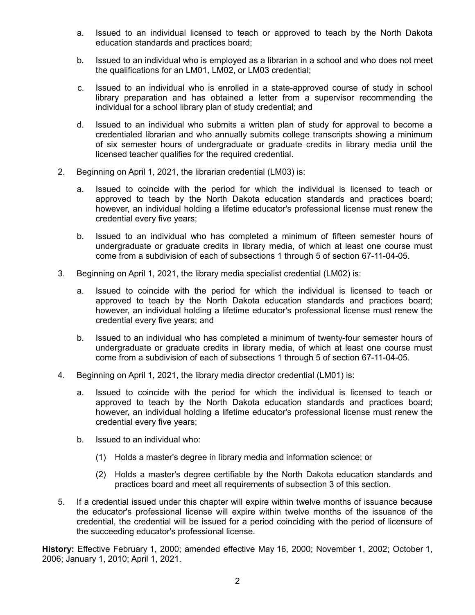- a. Issued to an individual licensed to teach or approved to teach by the North Dakota education standards and practices board;
- b. Issued to an individual who is employed as a librarian in a school and who does not meet the qualifications for an LM01, LM02, or LM03 credential;
- c. Issued to an individual who is enrolled in a state-approved course of study in school library preparation and has obtained a letter from a supervisor recommending the individual for a school library plan of study credential; and
- d. Issued to an individual who submits a written plan of study for approval to become a credentialed librarian and who annually submits college transcripts showing a minimum of six semester hours of undergraduate or graduate credits in library media until the licensed teacher qualifies for the required credential.
- 2. Beginning on April 1, 2021, the librarian credential (LM03) is:
	- a. Issued to coincide with the period for which the individual is licensed to teach or approved to teach by the North Dakota education standards and practices board; however, an individual holding a lifetime educator's professional license must renew the credential every five years;
	- b. Issued to an individual who has completed a minimum of fifteen semester hours of undergraduate or graduate credits in library media, of which at least one course must come from a subdivision of each of subsections 1 through 5 of section 67-11-04-05.
- 3. Beginning on April 1, 2021, the library media specialist credential (LM02) is:
	- a. Issued to coincide with the period for which the individual is licensed to teach or approved to teach by the North Dakota education standards and practices board; however, an individual holding a lifetime educator's professional license must renew the credential every five years; and
	- b. Issued to an individual who has completed a minimum of twenty-four semester hours of undergraduate or graduate credits in library media, of which at least one course must come from a subdivision of each of subsections 1 through 5 of section 67-11-04-05.
- 4. Beginning on April 1, 2021, the library media director credential (LM01) is:
	- a. Issued to coincide with the period for which the individual is licensed to teach or approved to teach by the North Dakota education standards and practices board; however, an individual holding a lifetime educator's professional license must renew the credential every five years;
	- b. Issued to an individual who:
		- (1) Holds a master's degree in library media and information science; or
		- (2) Holds a master's degree certifiable by the North Dakota education standards and practices board and meet all requirements of subsection 3 of this section.
- 5. If a credential issued under this chapter will expire within twelve months of issuance because the educator's professional license will expire within twelve months of the issuance of the credential, the credential will be issued for a period coinciding with the period of licensure of the succeeding educator's professional license.

**History:** Effective February 1, 2000; amended effective May 16, 2000; November 1, 2002; October 1, 2006; January 1, 2010; April 1, 2021.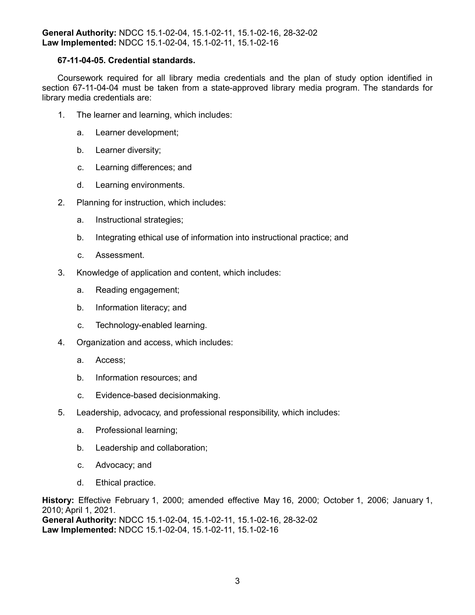### **67-11-04-05. Credential standards.**

Coursework required for all library media credentials and the plan of study option identified in section 67-11-04-04 must be taken from a state-approved library media program. The standards for library media credentials are:

- 1. The learner and learning, which includes:
	- a. Learner development;
	- b. Learner diversity;
	- c. Learning differences; and
	- d. Learning environments.
- 2. Planning for instruction, which includes:
	- a. Instructional strategies;
	- b. Integrating ethical use of information into instructional practice; and
	- c. Assessment.
- 3. Knowledge of application and content, which includes:
	- a. Reading engagement;
	- b. Information literacy; and
	- c. Technology-enabled learning.
- 4. Organization and access, which includes:
	- a. Access;
	- b. Information resources; and
	- c. Evidence-based decisionmaking.
- 5. Leadership, advocacy, and professional responsibility, which includes:
	- a. Professional learning;
	- b. Leadership and collaboration;
	- c. Advocacy; and
	- d. Ethical practice.

**History:** Effective February 1, 2000; amended effective May 16, 2000; October 1, 2006; January 1, 2010; April 1, 2021. **General Authority:** NDCC 15.1-02-04, 15.1-02-11, 15.1-02-16, 28-32-02 **Law Implemented:** NDCC 15.1-02-04, 15.1-02-11, 15.1-02-16